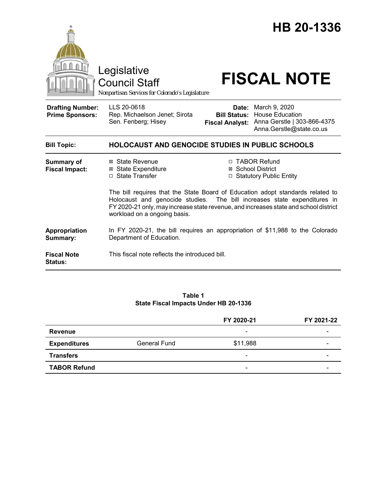

Council Staff

# Legislative<br>Council Staff **FISCAL NOTE**

*Nonpartisan Services for Colorado's Legislature*

**Drafting Number: Prime Sponsors:** LLS 20-0618 Rep. Michaelson Jenet; Sirota Sen. Fenberg; Hisey

**Date:** March 9, 2020 **Bill Status:** House Education **Fiscal Analyst:** Anna Gerstle | 303-866-4375 Anna.Gerstle@state.co.us

| <b>Bill Topic:</b>                   | <b>HOLOCAUST AND GENOCIDE STUDIES IN PUBLIC SCHOOLS</b>                                                                                                                                                                                                                            |                                                       |  |  |
|--------------------------------------|------------------------------------------------------------------------------------------------------------------------------------------------------------------------------------------------------------------------------------------------------------------------------------|-------------------------------------------------------|--|--|
| Summary of                           | ⊠ State Revenue                                                                                                                                                                                                                                                                    | □ TABOR Refund                                        |  |  |
| <b>Fiscal Impact:</b>                | ⊠ State Expenditure<br>□ State Transfer                                                                                                                                                                                                                                            | <b>⊠</b> School District<br>□ Statutory Public Entity |  |  |
|                                      | The bill requires that the State Board of Education adopt standards related to<br>Holocaust and genocide studies. The bill increases state expenditures in<br>FY 2020-21 only, may increase state revenue, and increases state and school district<br>workload on a ongoing basis. |                                                       |  |  |
| Appropriation<br>Summary:            | In FY 2020-21, the bill requires an appropriation of \$11,988 to the Colorado<br>Department of Education.                                                                                                                                                                          |                                                       |  |  |
| <b>Fiscal Note</b><br><b>Status:</b> | This fiscal note reflects the introduced bill.                                                                                                                                                                                                                                     |                                                       |  |  |
|                                      |                                                                                                                                                                                                                                                                                    |                                                       |  |  |

#### **Table 1 State Fiscal Impacts Under HB 20-1336**

|                     |                     | FY 2020-21                   | FY 2021-22 |
|---------------------|---------------------|------------------------------|------------|
| <b>Revenue</b>      |                     | -                            |            |
| <b>Expenditures</b> | <b>General Fund</b> | \$11,988                     | -          |
| <b>Transfers</b>    |                     | -                            |            |
| <b>TABOR Refund</b> |                     | $\qquad \qquad \blacksquare$ | -          |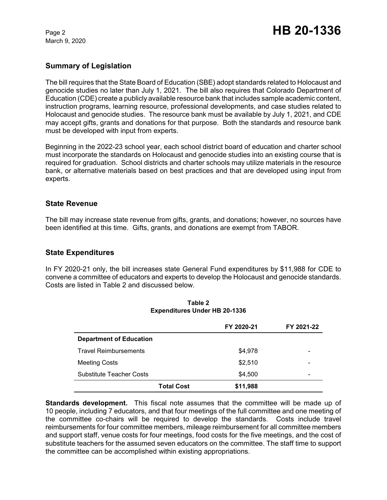March 9, 2020

## **Summary of Legislation**

The bill requires that the State Board of Education (SBE) adopt standards related to Holocaust and genocide studies no later than July 1, 2021. The bill also requires that Colorado Department of Education (CDE) create a publicly available resource bank that includes sample academic content, instruction programs, learning resource, professional developments, and case studies related to Holocaust and genocide studies. The resource bank must be available by July 1, 2021, and CDE may accept gifts, grants and donations for that purpose. Both the standards and resource bank must be developed with input from experts.

Beginning in the 2022-23 school year, each school district board of education and charter school must incorporate the standards on Holocaust and genocide studies into an existing course that is required for graduation. School districts and charter schools may utilize materials in the resource bank, or alternative materials based on best practices and that are developed using input from experts.

## **State Revenue**

The bill may increase state revenue from gifts, grants, and donations; however, no sources have been identified at this time. Gifts, grants, and donations are exempt from TABOR.

## **State Expenditures**

In FY 2020-21 only, the bill increases state General Fund expenditures by \$11,988 for CDE to convene a committee of educators and experts to develop the Holocaust and genocide standards. Costs are listed in Table 2 and discussed below.

|                                 |                   | FY 2020-21 | FY 2021-22 |
|---------------------------------|-------------------|------------|------------|
| <b>Department of Education</b>  |                   |            |            |
| <b>Travel Reimbursements</b>    |                   | \$4,978    |            |
| <b>Meeting Costs</b>            |                   | \$2,510    |            |
| <b>Substitute Teacher Costs</b> |                   | \$4,500    |            |
|                                 | <b>Total Cost</b> | \$11,988   |            |

#### **Table 2 Expenditures Under HB 20-1336**

**Standards development.** This fiscal note assumes that the committee will be made up of 10 people, including 7 educators, and that four meetings of the full committee and one meeting of the committee co-chairs will be required to develop the standards. Costs include travel reimbursements for four committee members, mileage reimbursement for all committee members and support staff, venue costs for four meetings, food costs for the five meetings, and the cost of substitute teachers for the assumed seven educators on the committee. The staff time to support the committee can be accomplished within existing appropriations.